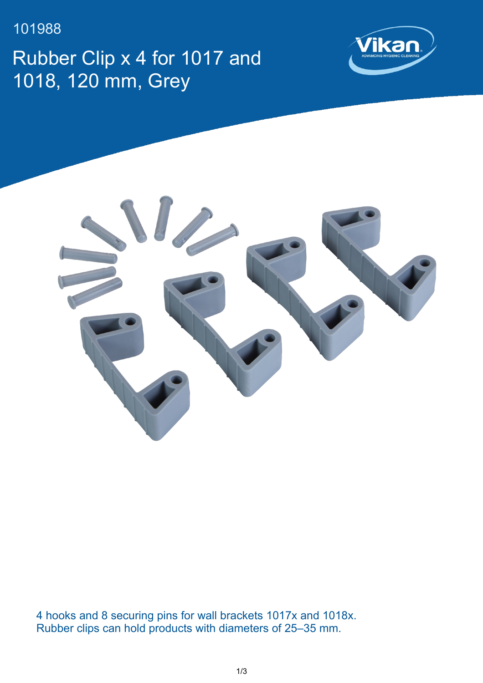101988

Rubber Clip x 4 for 1017 and 1018, 120 mm, Grey





4 hooks and 8 securing pins for wall brackets 1017x and 1018x. Rubber clips can hold products with diameters of 25–35 mm.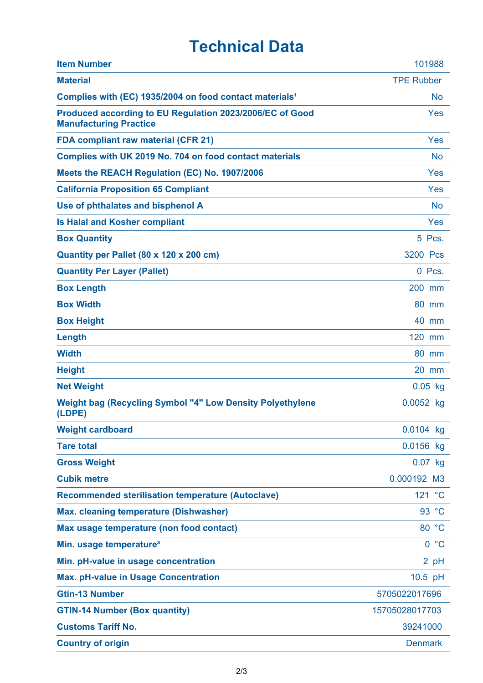## **Technical Data**

| <b>Item Number</b>                                                                        | 101988                      |
|-------------------------------------------------------------------------------------------|-----------------------------|
| <b>Material</b>                                                                           | <b>TPE Rubber</b>           |
| Complies with (EC) 1935/2004 on food contact materials <sup>1</sup>                       | No                          |
| Produced according to EU Regulation 2023/2006/EC of Good<br><b>Manufacturing Practice</b> | Yes                         |
| <b>FDA compliant raw material (CFR 21)</b>                                                | Yes                         |
| Complies with UK 2019 No. 704 on food contact materials                                   | <b>No</b>                   |
| Meets the REACH Regulation (EC) No. 1907/2006                                             | Yes                         |
| <b>California Proposition 65 Compliant</b>                                                | Yes                         |
| Use of phthalates and bisphenol A                                                         | <b>No</b>                   |
| <b>Is Halal and Kosher compliant</b>                                                      | Yes                         |
| <b>Box Quantity</b>                                                                       | 5 Pcs.                      |
| Quantity per Pallet (80 x 120 x 200 cm)                                                   | 3200 Pcs                    |
| <b>Quantity Per Layer (Pallet)</b>                                                        | 0 Pcs.                      |
| <b>Box Length</b>                                                                         | 200 mm                      |
| <b>Box Width</b>                                                                          | 80 mm                       |
| <b>Box Height</b>                                                                         | 40 mm                       |
| Length                                                                                    | 120 mm                      |
| <b>Width</b>                                                                              | 80 mm                       |
| <b>Height</b>                                                                             | 20 mm                       |
| <b>Net Weight</b>                                                                         | $0.05$ kg                   |
| <b>Weight bag (Recycling Symbol "4" Low Density Polyethylene</b><br>(LDPE)                | 0.0052 kg                   |
| <b>Weight cardboard</b>                                                                   | 0.0104 kg                   |
| <b>Tare total</b>                                                                         | 0.0156 kg                   |
| <b>Gross Weight</b>                                                                       | $0.07$ kg                   |
| <b>Cubik metre</b>                                                                        | 0.000192 M3                 |
| <b>Recommended sterilisation temperature (Autoclave)</b>                                  | 121 °C                      |
| <b>Max. cleaning temperature (Dishwasher)</b>                                             | 93 °C                       |
| Max usage temperature (non food contact)                                                  | 80 °C                       |
| Min. usage temperature <sup>3</sup>                                                       | $^{\circ}C$<br>$\mathbf{0}$ |
| Min. pH-value in usage concentration                                                      | $2$ pH                      |
| <b>Max. pH-value in Usage Concentration</b>                                               | 10.5 pH                     |
| <b>Gtin-13 Number</b>                                                                     | 5705022017696               |
| <b>GTIN-14 Number (Box quantity)</b>                                                      | 15705028017703              |
| <b>Customs Tariff No.</b>                                                                 | 39241000                    |
| <b>Country of origin</b>                                                                  | <b>Denmark</b>              |